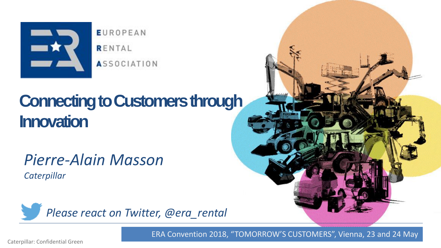

**EUROPEAN** RENTAL **ASSOCIATION** 

# **Connecting to Customers through Innovation**

*Pierre-Alain Masson Caterpillar*

<span id="page-0-0"></span>

ERA Convention 2018, "TOMORROW'S CUSTOMERS", Vienna, 23 and 24 May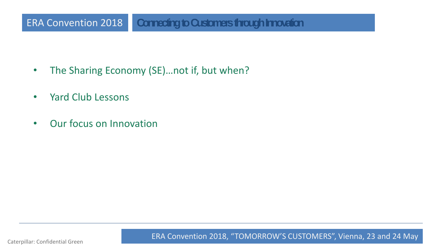#### ERA Convention 2018 **Connecting to Customers through Innovation**

- The Sharing Economy (SE)...not if, but when?
- Yard Club Lessons
- Our focus on Innovation

Caterpillar: Confidential Green **02** ERA Convention 2018, "TOMORROW'S CUSTOMERS", Vienna, 23 and [24](#page-0-0) Ma[y](#page-2-0)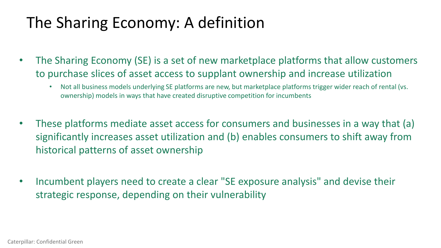## The Sharing Economy: A definition

- The Sharing Economy (SE) is a set of new marketplace platforms that allow customers to purchase slices of asset access to supplant ownership and increase utilization
	- Not all business models underlying SE platforms are new, but marketplace platforms trigger wider reach of rental (vs. ownership) models in ways that have created disruptive competition for incumbents
- These platforms mediate asset access for consumers and businesses in a way that (a) significantly increases asset utilization and (b) enables consumers to shift away from historical patterns of asset ownership
- <span id="page-2-0"></span>• Incumbent players need to create a clear "SE exposure analysis" and devise their strategic response, depending on their vulnerability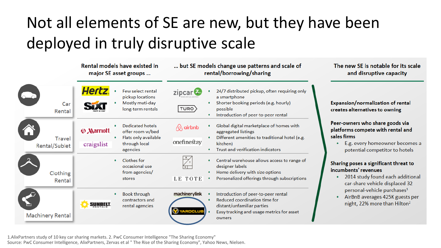# Not all elements of SE are new, but they have been deployed in truly disruptive scale

|                         | Rental models have existed in<br>major SE asset groups                                                                              | but SE models change use patterns and scale of<br>rental/borrowing/sharing                                                                                                                                    | The new SE is notable for its scale<br>and disruptive capacity                                                                                                                                                                                                |
|-------------------------|-------------------------------------------------------------------------------------------------------------------------------------|---------------------------------------------------------------------------------------------------------------------------------------------------------------------------------------------------------------|---------------------------------------------------------------------------------------------------------------------------------------------------------------------------------------------------------------------------------------------------------------|
| Car<br>Rental           | Hert<br>Few select rental<br>pickup locations<br>Mostly muti-day<br>long-term rentals                                               | 24/7 distributed pickup, often requiring only<br>zipcar.<br>a smartphone<br>Shorter booking periods (e.g. hourly)<br>TURO<br>possible<br>Introduction of peer-to-peer rental                                  | Expansion/normalization of rental<br>creates alternatives to owning                                                                                                                                                                                           |
| Travel<br>Rental/Sublet | <b>Dedicated hotels</b><br><b>W</b> Marriott<br>offer room w/bed<br>Flats only available<br>through local<br>craigslist<br>agencies | Global digital marketplace of homes with<br>$\sqrt{Q}$ airbnb<br>aggregated listings<br>Different amenities to traditional hotel (e.g.<br>onefinestay<br>kitchen)<br><b>Trust and verification indicators</b> | Peer-owners who share goods via<br>platforms compete with rental and<br>sales firms<br>E.g. every homeowner becomes a<br>potential competitor to hotels                                                                                                       |
| Clothing<br>Rental      | Clothes for<br>occasional use<br>from agencies/<br>stores                                                                           | Central warehouse allows access to range of<br>designer labels<br>Home delivery with size options<br>LE TOTE<br>Personalized offerings through subscriptions                                                  | Sharing poses a significant threat to<br>incumbents' revenues<br>2014 study found each additional<br>car-share vehicle displaced 32<br>personal-vehicle purchases <sup>1</sup><br>AirBnB averages 425K guests per<br>night, 22% more than Hilton <sup>2</sup> |
| <b>Machinery Rental</b> | <b>Book through</b><br>contractors and<br><b>SUNBELT.</b><br>rental agencies                                                        | machinerylink<br>Introduction of peer-to-peer rental<br>Reduced coordination time for<br>distant/unfamiliar parties<br><b>W</b> YARDCLU<br>Easy tracking and usage metrics for asset<br>owners                |                                                                                                                                                                                                                                                               |

Source: PwC Consumer Intelligence, AlixPartners, Zervas et al " The Rise of the Sharing Economy", Yahoo News, Nielsen. 1.AlixPartners study of 10 key car sharing markets. 2. PwC Consumer Intelligence "The Sharing Economy"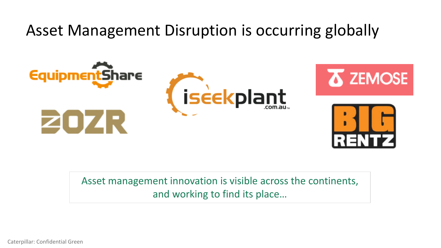Asset Management Disruption is occurring globally



Asset management innovation is visible across the continents, and working to find its place…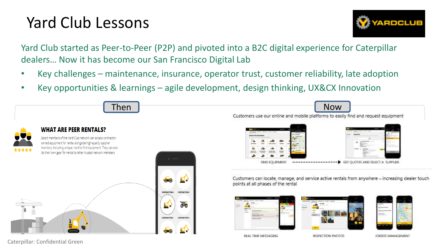### Yard Club Lessons



Yard Club started as Peer-to-Peer (P2P) and pivoted into a B2C digital experience for Caterpillar dealers… Now it has become our San Francisco Digital Lab

- Key challenges maintenance, insurance, operator trust, customer reliability, late adoption
- Key opportunities & learnings agile development, design thinking, UX&CX Innovation

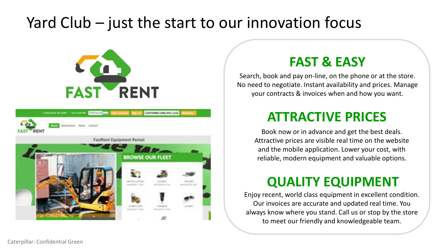#### Yard Club – just the start to our innovation focus





#### **FAST & EASY**

Search, book and pay on-line, on the phone or at the store. No need to negotiate. Instant availability and prices. Manage your contracts & invoices when and how you want.

#### **ATTRACTIVE PRICES**

Book now or in advance and get the best deals. Attractive prices are visible real time on the website and the mobile application. Lower your cost, with reliable, modern equipment and valuable options.

#### **QUALITY EQUIPMENT**

Enjoy recent, world class equipment in excellent condition. Our invoices are accurate and updated real time. You always know where you stand. Call us or stop by the store to meet our friendly and knowledgeable team.